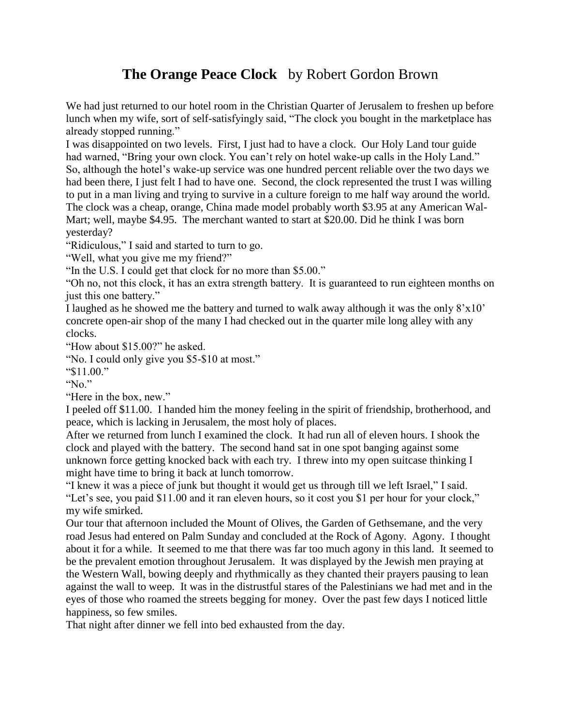## **The Orange Peace Clock** by Robert Gordon Brown

We had just returned to our hotel room in the Christian Quarter of Jerusalem to freshen up before lunch when my wife, sort of self-satisfyingly said, "The clock you bought in the marketplace has already stopped running."

I was disappointed on two levels. First, I just had to have a clock. Our Holy Land tour guide had warned, "Bring your own clock. You can't rely on hotel wake-up calls in the Holy Land." So, although the hotel's wake-up service was one hundred percent reliable over the two days we had been there, I just felt I had to have one. Second, the clock represented the trust I was willing to put in a man living and trying to survive in a culture foreign to me half way around the world. The clock was a cheap, orange, China made model probably worth \$3.95 at any American Wal-Mart; well, maybe \$4.95. The merchant wanted to start at \$20.00. Did he think I was born yesterday?

"Ridiculous," I said and started to turn to go.

"Well, what you give me my friend?"

"In the U.S. I could get that clock for no more than \$5.00."

"Oh no, not this clock, it has an extra strength battery. It is guaranteed to run eighteen months on just this one battery."

I laughed as he showed me the battery and turned to walk away although it was the only  $8'x10'$ concrete open-air shop of the many I had checked out in the quarter mile long alley with any clocks.

"How about \$15.00?" he asked.

"No. I could only give you \$5-\$10 at most."

"\$11.00."

"No."

"Here in the box, new."

I peeled off \$11.00. I handed him the money feeling in the spirit of friendship, brotherhood, and peace, which is lacking in Jerusalem, the most holy of places.

After we returned from lunch I examined the clock. It had run all of eleven hours. I shook the clock and played with the battery. The second hand sat in one spot banging against some unknown force getting knocked back with each try. I threw into my open suitcase thinking I might have time to bring it back at lunch tomorrow.

"I knew it was a piece of junk but thought it would get us through till we left Israel," I said. "Let's see, you paid \$11.00 and it ran eleven hours, so it cost you \$1 per hour for your clock," my wife smirked.

Our tour that afternoon included the Mount of Olives, the Garden of Gethsemane, and the very road Jesus had entered on Palm Sunday and concluded at the Rock of Agony. Agony. I thought about it for a while. It seemed to me that there was far too much agony in this land. It seemed to be the prevalent emotion throughout Jerusalem. It was displayed by the Jewish men praying at the Western Wall, bowing deeply and rhythmically as they chanted their prayers pausing to lean against the wall to weep. It was in the distrustful stares of the Palestinians we had met and in the eyes of those who roamed the streets begging for money. Over the past few days I noticed little happiness, so few smiles.

That night after dinner we fell into bed exhausted from the day.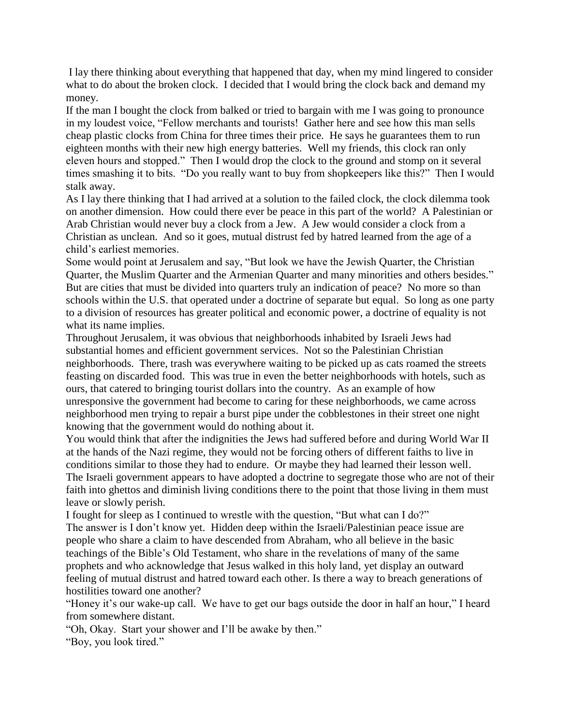I lay there thinking about everything that happened that day, when my mind lingered to consider what to do about the broken clock. I decided that I would bring the clock back and demand my money.

If the man I bought the clock from balked or tried to bargain with me I was going to pronounce in my loudest voice, "Fellow merchants and tourists! Gather here and see how this man sells cheap plastic clocks from China for three times their price. He says he guarantees them to run eighteen months with their new high energy batteries. Well my friends, this clock ran only eleven hours and stopped." Then I would drop the clock to the ground and stomp on it several times smashing it to bits. "Do you really want to buy from shopkeepers like this?" Then I would stalk away.

As I lay there thinking that I had arrived at a solution to the failed clock, the clock dilemma took on another dimension. How could there ever be peace in this part of the world? A Palestinian or Arab Christian would never buy a clock from a Jew. A Jew would consider a clock from a Christian as unclean. And so it goes, mutual distrust fed by hatred learned from the age of a child's earliest memories.

Some would point at Jerusalem and say, "But look we have the Jewish Quarter, the Christian Quarter, the Muslim Quarter and the Armenian Quarter and many minorities and others besides." But are cities that must be divided into quarters truly an indication of peace? No more so than schools within the U.S. that operated under a doctrine of separate but equal. So long as one party to a division of resources has greater political and economic power, a doctrine of equality is not what its name implies.

Throughout Jerusalem, it was obvious that neighborhoods inhabited by Israeli Jews had substantial homes and efficient government services. Not so the Palestinian Christian neighborhoods. There, trash was everywhere waiting to be picked up as cats roamed the streets feasting on discarded food. This was true in even the better neighborhoods with hotels, such as ours, that catered to bringing tourist dollars into the country. As an example of how unresponsive the government had become to caring for these neighborhoods, we came across neighborhood men trying to repair a burst pipe under the cobblestones in their street one night knowing that the government would do nothing about it.

You would think that after the indignities the Jews had suffered before and during World War II at the hands of the Nazi regime, they would not be forcing others of different faiths to live in conditions similar to those they had to endure. Or maybe they had learned their lesson well. The Israeli government appears to have adopted a doctrine to segregate those who are not of their faith into ghettos and diminish living conditions there to the point that those living in them must leave or slowly perish.

I fought for sleep as I continued to wrestle with the question, "But what can I do?" The answer is I don't know yet. Hidden deep within the Israeli/Palestinian peace issue are people who share a claim to have descended from Abraham, who all believe in the basic teachings of the Bible's Old Testament, who share in the revelations of many of the same prophets and who acknowledge that Jesus walked in this holy land, yet display an outward feeling of mutual distrust and hatred toward each other. Is there a way to breach generations of hostilities toward one another?

"Honey it's our wake-up call. We have to get our bags outside the door in half an hour," I heard from somewhere distant.

"Oh, Okay. Start your shower and I'll be awake by then."

"Boy, you look tired."